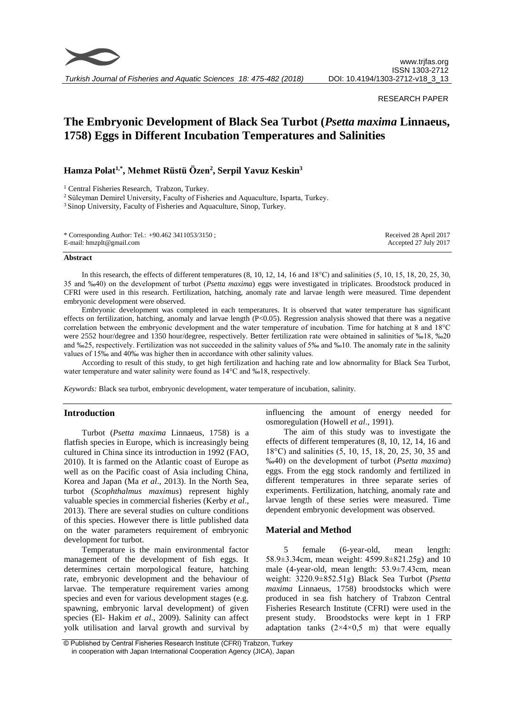

*Turkish Journal of Fisheries and Aquatic Sciences 18: 475-482 (2018)*

# RESEARCH PAPER

# **The Embryonic Development of Black Sea Turbot (***Psetta maxima* **Linnaeus, 1758) Eggs in Different Incubation Temperatures and Salinities**

# **Hamza Polat1,\* , Mehmet Rüstü Özen<sup>2</sup> , Serpil Yavuz Keskin<sup>3</sup>**

<sup>1</sup> Central Fisheries Research, Trabzon, Turkey.

<sup>2</sup> Süleyman Demirel University, Faculty of Fisheries and Aquaculture, Isparta, Turkey.

<sup>3</sup> Sinop University, Faculty of Fisheries and Aquaculture, Sinop, Turkey.

| * Corresponding Author: Tel.: $+90.462$ 3411053/3150; | Received 28 April 2017 |
|-------------------------------------------------------|------------------------|
| E-mail: $h$ mzplt@gmail.com                           | Accepted 27 July 2017  |

#### **Abstract**

In this research, the effects of different temperatures (8, 10, 12, 14, 16 and 18°C) and salinities (5, 10, 15, 18, 20, 25, 30, 35 and ‰40) on the development of turbot (*Psetta maxima*) eggs were investigated in triplicates. Broodstock produced in CFRI were used in this research. Fertilization, hatching, anomaly rate and larvae length were measured. Time dependent embryonic development were observed.

Embryonic development was completed in each temperatures. It is observed that water temperature has significant effects on fertilization, hatching, anomaly and larvae length  $(P<0.05)$ . Regression analysis showed that there was a negative correlation between the embryonic development and the water temperature of incubation. Time for hatching at 8 and 18°C were 2552 hour/degree and 1350 hour/degree, respectively. Better fertilization rate were obtained in salinities of ‰18, ‰20 and ‰25, respectively. Fertilization was not succeeded in the salinity values of 5‰ and ‰10. The anomaly rate in the salinity values of 15‰ and 40‰ was higher then in accordance with other salinity values.

According to result of this study, to get high fertilization and haching rate and low abnormality for Black Sea Turbot, water temperature and water salinity were found as  $14^{\circ}$ C and ‰18, respectively.

*Keywords:* Black sea turbot, embryonic development, water temperature of incubation, salinity.

## **Introduction**

Turbot (*Psetta maxima* Linnaeus, 1758) is a flatfish species in Europe, which is increasingly being cultured in China since its introduction in 1992 (FAO, 2010). It is farmed on the Atlantic coast of Europe as well as on the Pacific coast of Asia including China, Korea and Japan (Ma *et al*., 2013). In the North Sea, turbot (*Scophthalmus maximus*) represent highly valuable species in commercial fisheries (Kerby *et al*., 2013). There are several studies on culture conditions of this species. However there is little published data on the water parameters requirement of embryonic development for turbot.

Temperature is the main environmental factor management of the development of fish eggs. It determines certain morpological feature, hatching rate, embryonic development and the behaviour of larvae. The temperature requirement varies among species and even for various development stages (e.g. spawning, embryonic larval development) of given species (El- Hakim *et al*., 2009). Salinity can affect yolk utilisation and larval growth and survival by influencing the amount of energy needed for osmoregulation (Howell *et al*., 1991).

The aim of this study was to investigate the effects of different temperatures (8, 10, 12, 14, 16 and 18°C) and salinities (5, 10, 15, 18, 20, 25, 30, 35 and ‰40) on the development of turbot (*Psetta maxima*) eggs. From the egg stock randomly and fertilized in different temperatures in three separate series of experiments. Fertilization, hatching, anomaly rate and larvae length of these series were measured. Time dependent embryonic development was observed.

# **Material and Method**

5 female (6-year-old, mean length: 58.9±3.34cm, mean weight: 4599.8±821.25g) and 10 male (4-year-old, mean length: 53.9±7.43cm, mean weight: 3220.9±852.51g) Black Sea Turbot (*Psetta maxima* Linnaeus, 1758) broodstocks which were produced in sea fish hatchery of Trabzon Central Fisheries Research Institute (CFRI) were used in the present study. Broodstocks were kept in 1 FRP adaptation tanks  $(2\times4\times0.5$  m) that were equally

<sup>©</sup> Published by Central Fisheries Research Institute (CFRI) Trabzon, Turkey in cooperation with Japan International Cooperation Agency (JICA), Japan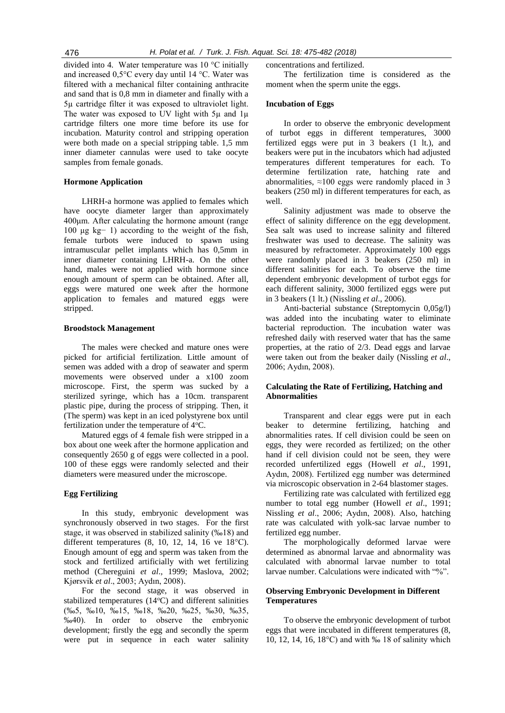divided into 4. Water temperature was 10 °C initially and increased 0,5°C every day until 14 °C. Water was filtered with a mechanical filter containing anthracite and sand that is 0,8 mm in diameter and finally with a 5µ cartridge filter it was exposed to ultraviolet light. The water was exposed to UV light with  $5\mu$  and  $1\mu$ cartridge filters one more time before its use for incubation. Maturity control and stripping operation were both made on a special stripping table. 1,5 mm inner diameter cannulas were used to take oocyte samples from female gonads.

## **Hormone Application**

LHRH-a hormone was applied to females which have oocyte diameter larger than approximately 400μm. After calculating the hormone amount (range 100 μg kg− 1) according to the weight of the fish, female turbots were induced to spawn using intramuscular pellet implants which has 0,5mm in inner diameter containing LHRH-a. On the other hand, males were not applied with hormone since enough amount of sperm can be obtained. After all, eggs were matured one week after the hormone application to females and matured eggs were stripped.

### **Broodstock Management**

The males were checked and mature ones were picked for artificial fertilization. Little amount of semen was added with a drop of seawater and sperm movements were observed under a x100 zoom microscope. First, the sperm was sucked by a sterilized syringe, which has a 10cm. transparent plastic pipe, during the process of stripping. Then, it (The sperm) was kept in an iced polystyrene box until fertilization under the temperature of  $4^{\circ}C$ .

Matured eggs of 4 female fish were stripped in a box about one week after the hormone application and consequently 2650 g of eggs were collected in a pool. 100 of these eggs were randomly selected and their diameters were measured under the microscope.

## **Egg Fertilizing**

In this study, embryonic development was synchronously observed in two stages. For the first stage, it was observed in stabilized salinity (‰18) and different temperatures  $(8, 10, 12, 14, 16$  ve  $18^{\circ}$ C). Enough amount of egg and sperm was taken from the stock and fertilized artificially with wet fertilizing method (Chereguini *et al*., 1999; Maslova, 2002; Kjørsvik *et al*., 2003; Aydın, 2008).

For the second stage, it was observed in stabilized temperatures  $(14^{\circ}C)$  and different salinities (‰5, ‰10, ‰15, ‰18, ‰20, ‰25, ‰30, ‰35, ‰40). In order to observe the embryonic development; firstly the egg and secondly the sperm were put in sequence in each water salinity

#### concentrations and fertilized.

The fertilization time is considered as the moment when the sperm unite the eggs.

#### **Incubation of Eggs**

In order to observe the embryonic development of turbot eggs in different temperatures, 3000 fertilized eggs were put in 3 beakers (1 lt.), and beakers were put in the incubators which had adjusted temperatures different temperatures for each. To determine fertilization rate, hatching rate and abnormalities,  $\approx$ 100 eggs were randomly placed in 3 beakers (250 ml) in different temperatures for each, as well.

Salinity adjustment was made to observe the effect of salinity difference on the egg development. Sea salt was used to increase salinity and filtered freshwater was used to decrease. The salinity was measured by refractometer. Approximately 100 eggs were randomly placed in 3 beakers (250 ml) in different salinities for each. To observe the time dependent embryonic development of turbot eggs for each different salinity, 3000 fertilized eggs were put in 3 beakers (1 lt.) (Nissling *et al*., 2006).

Anti-bacterial substance (Streptomycin 0,05g/l) was added into the incubating water to eliminate bacterial reproduction. The incubation water was refreshed daily with reserved water that has the same properties, at the ratio of 2/3. Dead eggs and larvae were taken out from the beaker daily (Nissling *et al*., 2006; Aydın, 2008).

# **Calculating the Rate of Fertilizing, Hatching and Abnormalities**

Transparent and clear eggs were put in each beaker to determine fertilizing, hatching and abnormalities rates. If cell division could be seen on eggs, they were recorded as fertilized; on the other hand if cell division could not be seen, they were recorded unfertilized eggs (Howell *et al*., 1991, Aydın, 2008). Fertilized egg number was determined via microscopic observation in 2-64 blastomer stages.

Fertilizing rate was calculated with fertilized egg number to total egg number (Howell *et al*., 1991; Nissling *et al*., 2006; Aydın, 2008). Also, hatching rate was calculated with yolk-sac larvae number to fertilized egg number.

The morphologically deformed larvae were determined as abnormal larvae and abnormality was calculated with abnormal larvae number to total larvae number. Calculations were indicated with "%".

# **Observing Embryonic Development in Different Temperatures**

To observe the embryonic development of turbot eggs that were incubated in different temperatures (8, 10, 12, 14, 16, 18°C) and with ‰ 18 of salinity which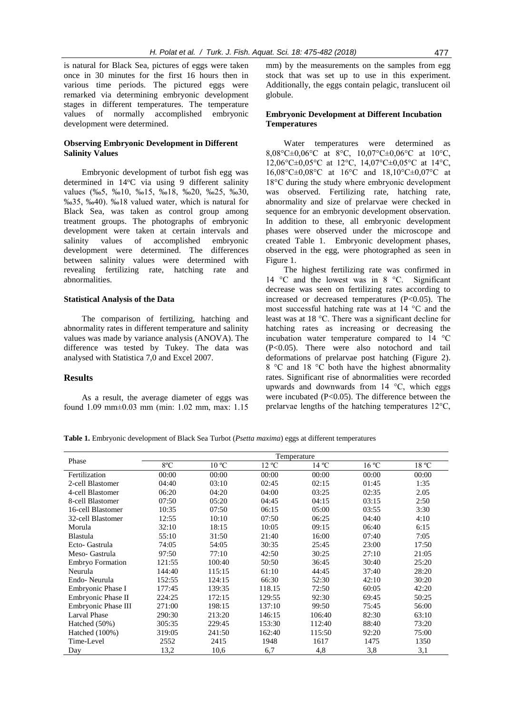is natural for Black Sea, pictures of eggs were taken once in 30 minutes for the first 16 hours then in various time periods. The pictured eggs were remarked via determining embryonic development stages in different temperatures. The temperature values of normally accomplished embryonic development were determined.

# **Observing Embryonic Development in Different Salinity Values**

Embryonic development of turbot fish egg was determined in 14°C via using 9 different salinity values (‰5, ‰10, ‰15, ‰18, ‰20, ‰25, ‰30, ‰35, ‰40). ‰18 valued water, which is natural for Black Sea, was taken as control group among treatment groups. The photographs of embryonic development were taken at certain intervals and salinity values of accomplished embryonic development were determined. The differences between salinity values were determined with revealing fertilizing rate, hatching rate and abnormalities.

## **Statistical Analysis of the Data**

The comparison of fertilizing, hatching and abnormality rates in different temperature and salinity values was made by variance analysis (ANOVA). The difference was tested by Tukey. The data was analysed with Statistica 7,0 and Excel 2007.

## **Results**

As a result, the average diameter of eggs was found 1.09 mm±0.03 mm (min: 1.02 mm, max: 1.15 mm) by the measurements on the samples from egg stock that was set up to use in this experiment. Additionally, the eggs contain pelagic, translucent oil globule.

# **Embryonic Development at Different Incubation Temperatures**

Water temperatures were determined as 8,08°C $\pm$ 0,06°C at 8°C, 10,07°C $\pm$ 0,06°C at 10°C, 12,06°C±0,05°C at 12°C, 14,07°C±0,05°C at 14°C, 16,08°C±0,08°C at 16°C and 18,10°C±0,07°C at 18°C during the study where embryonic development was observed. Fertilizing rate, hatching rate, abnormality and size of prelarvae were checked in sequence for an embryonic development observation. In addition to these, all embryonic development phases were observed under the microscope and created Table 1. Embryonic development phases, observed in the egg, were photographed as seen in Figure 1.

The highest fertilizing rate was confirmed in 14  $\degree$ C and the lowest was in 8  $\degree$ C. Significant decrease was seen on fertilizing rates according to increased or decreased temperatures (P<0.05). The most successful hatching rate was at 14 °C and the least was at 18 °C. There was a significant decline for hatching rates as increasing or decreasing the incubation water temperature compared to 14 °C (P<0.05). There were also notochord and tail deformations of prelarvae post hatching (Figure 2). 8 °C and 18 °C both have the highest abnormality rates. Significant rise of abnormalities were recorded upwards and downwards from  $14 \text{ °C}$ , which eggs were incubated  $(P<0.05)$ . The difference between the prelarvae lengths of the hatching temperatures 12°C,

**Table 1.** Embryonic development of Black Sea Turbot (*Psetta maxima*) eggs at different temperatures

|                         | Temperature |                |        |                |       |                          |
|-------------------------|-------------|----------------|--------|----------------|-------|--------------------------|
| Phase                   | 8°C         | $10^{\circ}$ C | 12 °C  | $14^{\circ}$ C | 16 °C | $18\,^{\rm o}\mathrm{C}$ |
| Fertilization           | 00:00       | 00:00          | 00:00  | 00:00          | 00:00 | 00:00                    |
| 2-cell Blastomer        | 04:40       | 03:10          | 02:45  | 02:15          | 01:45 | 1:35                     |
| 4-cell Blastomer        | 06:20       | 04:20          | 04:00  | 03:25          | 02:35 | 2.05                     |
| 8-cell Blastomer        | 07:50       | 05:20          | 04:45  | 04:15          | 03:15 | 2:50                     |
| 16-cell Blastomer       | 10:35       | 07:50          | 06:15  | 05:00          | 03:55 | 3:30                     |
| 32-cell Blastomer       | 12:55       | 10:10          | 07:50  | 06:25          | 04:40 | 4:10                     |
| Morula                  | 32:10       | 18:15          | 10:05  | 09:15          | 06:40 | 6:15                     |
| Blastula                | 55:10       | 31:50          | 21:40  | 16:00          | 07:40 | 7:05                     |
| Ecto- Gastrula          | 74:05       | 54:05          | 30:35  | 25:45          | 23:00 | 17:50                    |
| Meso- Gastrula          | 97:50       | 77:10          | 42:50  | 30:25          | 27:10 | 21:05                    |
| <b>Embryo Formation</b> | 121:55      | 100:40         | 50:50  | 36:45          | 30:40 | 25:20                    |
| Neurula                 | 144:40      | 115:15         | 61:10  | 44:45          | 37:40 | 28:20                    |
| Endo-Neurula            | 152:55      | 124:15         | 66:30  | 52:30          | 42:10 | 30:20                    |
| Embryonic Phase I       | 177:45      | 139:35         | 118.15 | 72:50          | 60:05 | 42:20                    |
| Embryonic Phase II      | 224:25      | 172:15         | 129:55 | 92:30          | 69:45 | 50:25                    |
| Embryonic Phase III     | 271:00      | 198:15         | 137:10 | 99:50          | 75:45 | 56:00                    |
| <b>Larval Phase</b>     | 290:30      | 213:20         | 146:15 | 106:40         | 82:30 | 63:10                    |
| Hatched (50%)           | 305:35      | 229:45         | 153:30 | 112:40         | 88:40 | 73:20                    |
| Hatched (100%)          | 319:05      | 241:50         | 162:40 | 115:50         | 92:20 | 75:00                    |
| Time-Level              | 2552        | 2415           | 1948   | 1617           | 1475  | 1350                     |
| Day                     | 13,2        | 10,6           | 6,7    | 4,8            | 3,8   | 3,1                      |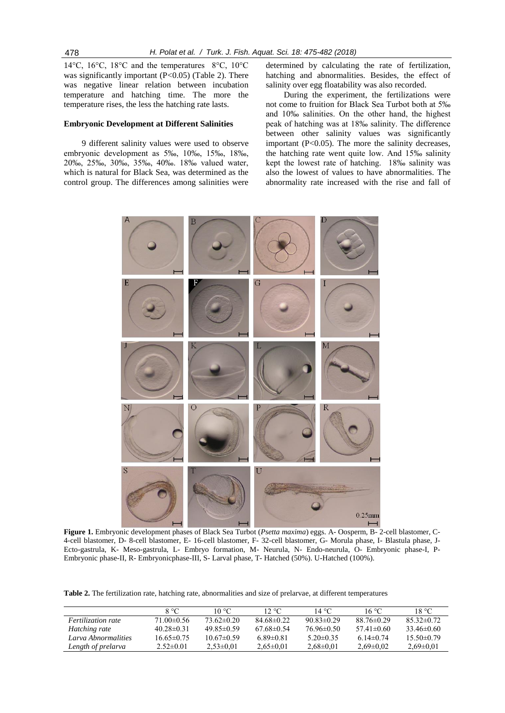14°C, 16°C, 18°C and the temperatures 8°C, 10°C was significantly important  $(P<0.05)$  (Table 2). There was negative linear relation between incubation temperature and hatching time. The more the temperature rises, the less the hatching rate lasts.

# **Embryonic Development at Different Salinities**

9 different salinity values were used to observe embryonic development as 5‰, 10‰, 15‰, 18‰, 20‰, 25‰, 30‰, 35‰, 40‰. 18‰ valued water, which is natural for Black Sea, was determined as the control group. The differences among salinities were

determined by calculating the rate of fertilization, hatching and abnormalities. Besides, the effect of salinity over egg floatability was also recorded.

During the experiment, the fertilizations were not come to fruition for Black Sea Turbot both at 5‰ and 10‰ salinities. On the other hand, the highest peak of hatching was at 18‰ salinity. The difference between other salinity values was significantly important (P<0.05). The more the salinity decreases, the hatching rate went quite low. And 15‰ salinity kept the lowest rate of hatching. 18‰ salinity was also the lowest of values to have abnormalities. The abnormality rate increased with the rise and fall of



**Figure 1.** Embryonic development phases of Black Sea Turbot (*Psetta maxima*) eggs. A- Oosperm, B- 2-cell blastomer, C-4-cell blastomer, D- 8-cell blastomer, E- 16-cell blastomer, F- 32-cell blastomer, G- Morula phase, I- Blastula phase, J-Ecto-gastrula, K- Meso-gastrula, L- Embryo formation, M- Neurula, N- Endo-neurula, O- Embryonic phase-I, P-Embryonic phase-II, R- Embryonicphase-III, S- Larval phase, T- Hatched (50%). U-Hatched (100%).

**Table 2.** The fertilization rate, hatching rate, abnormalities and size of prelarvae, at different temperatures

|                           | $8^{\circ}C$     | 10 °C.           | $12 \text{ °C}$  | 14 °C.           | 16 °C            | 18 °C.          |
|---------------------------|------------------|------------------|------------------|------------------|------------------|-----------------|
| <i>Fertilization rate</i> | $71.00\pm0.56$   | $73.62 \pm 0.20$ | $84.68\pm0.22$   | $90.83 \pm 0.29$ | $88.76 \pm 0.29$ | $85.32\pm0.72$  |
| Hatching rate             | $40.28 \pm 0.31$ | $49.85 \pm 0.59$ | $67.68 \pm 0.54$ | $76.96 \pm 0.50$ | $57.41 \pm 0.60$ | $33.46\pm0.60$  |
| Larva Abnormalities       | $16.65 \pm 0.75$ | $10.67 \pm 0.59$ | $6.89 \pm 0.81$  | $5.20 \pm 0.35$  | $6.14 \pm 0.74$  | $15.50\pm0.79$  |
| Length of prelarva        | $2.52 \pm 0.01$  | $2.53 \pm 0.01$  | $2.65 \pm 0.01$  | $2.68 \pm 0.01$  | $2.69 \pm 0.02$  | $2.69 \pm 0.01$ |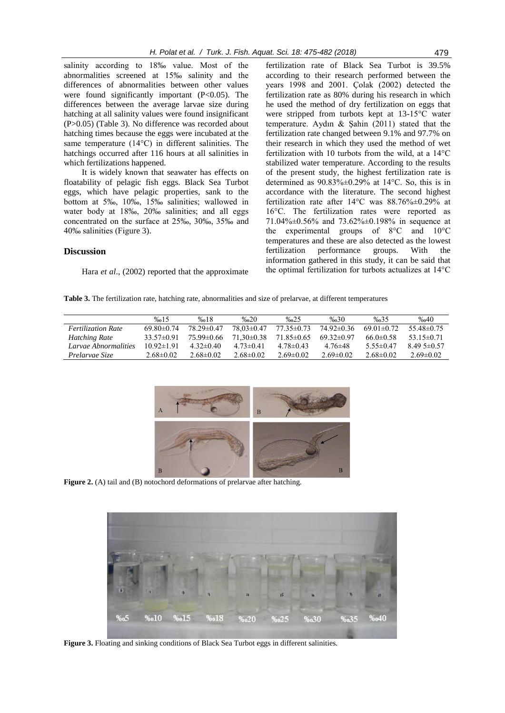salinity according to 18‰ value. Most of the abnormalities screened at 15‰ salinity and the differences of abnormalities between other values were found significantly important (P<0.05). The differences between the average larvae size during hatching at all salinity values were found insignificant (P>0.05) (Table 3). No difference was recorded about hatching times because the eggs were incubated at the same temperature (14°C) in different salinities. The hatchings occurred after 116 hours at all salinities in which fertilizations happened.

It is widely known that seawater has effects on floatability of pelagic fish eggs. Black Sea Turbot eggs, which have pelagic properties, sank to the bottom at 5‰, 10‰, 15‰ salinities; wallowed in water body at 18‰, 20‰ salinities; and all eggs concentrated on the surface at 25‰, 30‰, 35‰ and 40‰ salinities (Figure 3).

#### **Discussion**

Hara *et al.*, (2002) reported that the approximate

fertilization rate of Black Sea Turbot is 39.5% according to their research performed between the years 1998 and 2001. Çolak (2002) detected the fertilization rate as 80% during his research in which he used the method of dry fertilization on eggs that were stripped from turbots kept at 13-15°C water temperature. Aydın & Şahin (2011) stated that the fertilization rate changed between 9.1% and 97.7% on their research in which they used the method of wet fertilization with 10 turbots from the wild, at a 14°C stabilized water temperature. According to the results of the present study, the highest fertilization rate is determined as  $90.83\% \pm 0.29\%$  at 14°C. So, this is in accordance with the literature. The second highest fertilization rate after  $14^{\circ}$ C was  $88.76\% \pm 0.29\%$  at 16°C. The fertilization rates were reported as 71.04%±0.56% and 73.62%±0.198% in sequence at the experimental groups of 8°C and 10°C temperatures and these are also detected as the lowest fertilization performance groups. With the information gathered in this study, it can be said that the optimal fertilization for turbots actualizes at 14°C

**Table 3.** The fertilization rate, hatching rate, abnormalities and size of prelarvae, at different temperatures

|                           | %15              | %18              | $\%20$           | $\% 025$       | $\%$ <sub>0</sub> 30 | % 35             | %640             |
|---------------------------|------------------|------------------|------------------|----------------|----------------------|------------------|------------------|
| <b>Fertilization Rate</b> | $69.80 \pm 0.74$ | $78.29 \pm 0.47$ | $78.03 \pm 0.47$ | $77.35\pm0.73$ | $74.92\pm0.36$       | $69.01 \pm 0.72$ | 55.48±0.75       |
| <b>Hatching Rate</b>      | $33.57 \pm 0.91$ | 75.99±0.66       | $71.30\pm0.38$   | $71.85\pm0.65$ | $69.32 \pm 0.97$     | $66.0 \pm 0.58$  | $53.15 \pm 0.71$ |
| Larvae Abnormalities      | $10.92 \pm 1.91$ | $4.32 \pm 0.40$  | $4.73 \pm 0.41$  | $4.78\pm0.43$  | $4.76\pm48$          | $5.55 \pm 0.47$  | $8.495 \pm 0.57$ |
| Prelarvae Size            | $2.68 \pm 0.02$  | $2.68 \pm 0.02$  | $2.68\pm0.02$    | $2.69 + 0.02$  | $269+0.02$           | $2.68\pm0.02$    | $2.69 \pm 0.02$  |



**Figure 2.** (A) tail and (B) notochord deformations of prelarvae after hatching.



**Figure 3.** Floating and sinking conditions of Black Sea Turbot eggs in different salinities.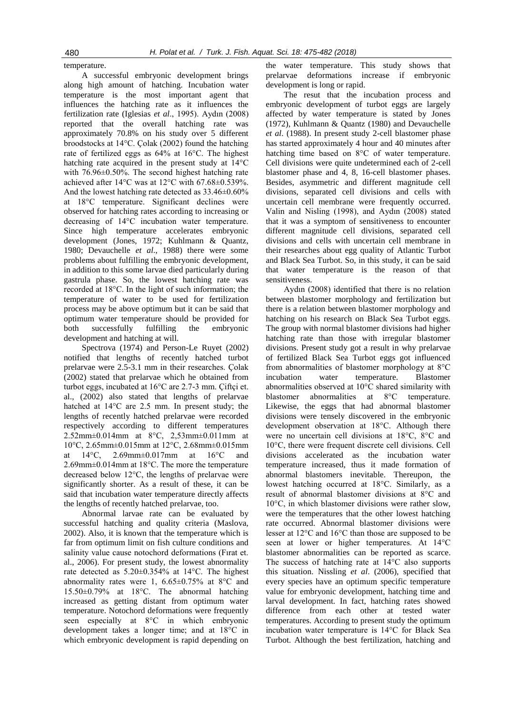temperature.

A successful embryonic development brings along high amount of hatching. Incubation water temperature is the most important agent that influences the hatching rate as it influences the fertilization rate (Iglesias *et al*., 1995). Aydın (2008) reported that the overall hatching rate was approximately 70.8% on his study over 5 different broodstocks at 14°C. Çolak (2002) found the hatching rate of fertilized eggs as 64% at 16°C. The highest hatching rate acquired in the present study at 14°C with 76.96±0.50%. The second highest hatching rate achieved after 14°C was at 12°C with 67.68±0.539%. And the lowest hatching rate detected as 33.46±0.60% at 18°C temperature. Significant declines were observed for hatching rates according to increasing or decreasing of 14°C incubation water temperature. Since high temperature accelerates embryonic development (Jones, 1972; Kuhlmann & Quantz, 1980; Devauchelle *et al*., 1988) there were some problems about fulfilling the embryonic development, in addition to this some larvae died particularly during gastrula phase. So, the lowest hatching rate was recorded at 18°C. In the light of such information; the temperature of water to be used for fertilization process may be above optimum but it can be said that optimum water temperature should be provided for both successfully fulfilling the embryonic development and hatching at will.

Spectrova (1974) and Person-Le Ruyet (2002) notified that lengths of recently hatched turbot prelarvae were 2.5-3.1 mm in their researches. Çolak (2002) stated that prelarvae which he obtained from turbot eggs, incubated at 16°C are 2.7-3 mm. Çiftçi et. al., (2002) also stated that lengths of prelarvae hatched at 14°C are 2.5 mm. In present study; the lengths of recently hatched prelarvae were recorded respectively according to different temperatures 2.52mm±0.014mm at 8°C, 2,53mm±0.011mm at 10°C, 2.65mm±0.015mm at 12°C, 2.68mm±0.015mm at 14°C, 2.69mm±0.017mm at 16°C and 2.69mm±0.014mm at 18°C. The more the temperature decreased below 12°C, the lengths of prelarvae were significantly shorter. As a result of these, it can be said that incubation water temperature directly affects the lengths of recently hatched prelarvae, too.

Abnormal larvae rate can be evaluated by successful hatching and quality criteria (Maslova, 2002). Also, it is known that the temperature which is far from optimum limit on fish culture conditions and salinity value cause notochord deformations (Fırat et. al., 2006). For present study, the lowest abnormality rate detected as 5.20±0.354% at 14°C. The highest abnormality rates were 1, 6.65±0.75% at 8°C and 15.50±0.79% at 18°C. The abnormal hatching increased as getting distant from optimum water temperature. Notochord deformations were frequently seen especially at 8°C in which embryonic development takes a longer time; and at 18°C in which embryonic development is rapid depending on the water temperature. This study shows that prelarvae deformations increase if embryonic development is long or rapid.

The resut that the incubation process and embryonic development of turbot eggs are largely affected by water temperature is stated by Jones (1972), Kuhlmann & Quantz (1980) and Devauchelle *et al*. (1988). In present study 2-cell blastomer phase has started approximately 4 hour and 40 minutes after hatching time based on 8°C of water temperature. Cell divisions were quite undetermined each of 2-cell blastomer phase and 4, 8, 16-cell blastomer phases. Besides, asymmetric and different magnitude cell divisions, separated cell divisions and cells with uncertain cell membrane were frequently occurred. Valin and Nisling (1998), and Aydın (2008) stated that it was a symptom of sensitiveness to encounter different magnitude cell divisions, separated cell divisions and cells with uncertain cell membrane in their researches about egg quality of Atlantic Turbot and Black Sea Turbot. So, in this study, it can be said that water temperature is the reason of that sensitiveness.

Aydın (2008) identified that there is no relation between blastomer morphology and fertilization but there is a relation between blastomer morphology and hatching on his research on Black Sea Turbot eggs. The group with normal blastomer divisions had higher hatching rate than those with irregular blastomer divisions. Present study got a result in why prelarvae of fertilized Black Sea Turbot eggs got influenced from abnormalities of blastomer morphology at 8°C incubation water temperature. Blastomer abnormalities observed at 10°C shared similarity with blastomer abnormalities at 8°C temperature. Likewise, the eggs that had abnormal blastomer divisions were tensely discovered in the embryonic development observation at 18°C. Although there were no uncertain cell divisions at 18°C, 8°C and 10°C, there were frequent discrete cell divisions. Cell divisions accelerated as the incubation water temperature increased, thus it made formation of abnormal blastomers inevitable. Thereupon, the lowest hatching occurred at 18°C. Similarly, as a result of abnormal blastomer divisions at 8°C and 10°C, in which blastomer divisions were rather slow, were the temperatures that the other lowest hatching rate occurred. Abnormal blastomer divisions were lesser at 12°C and 16°C than those are supposed to be seen at lower or higher temperatures. At 14°C blastomer abnormalities can be reported as scarce. The success of hatching rate at 14°C also supports this situation. Nissling *et al*. (2006), specified that every species have an optimum specific temperature value for embryonic development, hatching time and larval development. In fact, hatching rates showed difference from each other at tested water temperatures. According to present study the optimum incubation water temperature is 14°C for Black Sea Turbot. Although the best fertilization, hatching and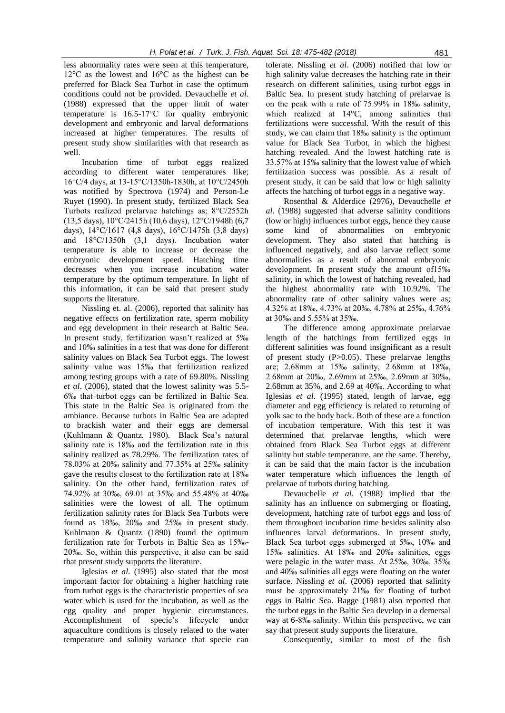less abnormality rates were seen at this temperature, 12°C as the lowest and 16°C as the highest can be preferred for Black Sea Turbot in case the optimum conditions could not be provided. Devauchelle *et al*. (1988) expressed that the upper limit of water temperature is 16.5-17°C for quality embryonic development and embryonic and larval deformations increased at higher temperatures. The results of present study show similarities with that research as well.

Incubation time of turbot eggs realized according to different water temperatures like; 16°C/4 days, at 13-15°C/1350h-1830h, at 10°C/2450h was notified by Spectrova (1974) and Person-Le Ruyet (1990). In present study, fertilized Black Sea Turbots realized prelarvae hatchings as; 8°C/2552h (13,5 days), 10°C/2415h (10,6 days), 12°C/1948h (6,7 days), 14°C/1617 (4,8 days), 16°C/1475h (3,8 days) and 18°C/1350h (3,1 days). Incubation water temperature is able to increase or decrease the embryonic development speed. Hatching time decreases when you increase incubation water temperature by the optimum temperature. In light of this information, it can be said that present study supports the literature.

Nissling et. al. (2006), reported that salinity has negative effects on fertilization rate, sperm mobility and egg development in their research at Baltic Sea. In present study, fertilization wasn't realized at 5‰ and 10‰ salinities in a test that was done for different salinity values on Black Sea Turbot eggs. The lowest salinity value was 15‰ that fertilization realized among testing groups with a rate of 69.80%. Nissling *et al*. (2006), stated that the lowest salinity was 5.5- 6‰ that turbot eggs can be fertilized in Baltic Sea. This state in the Baltic Sea is originated from the ambiance. Because turbots in Baltic Sea are adapted to brackish water and their eggs are demersal (Kuhlmann & Quantz, 1980). Black Sea's natural salinity rate is 18‰ and the fertilization rate in this salinity realized as 78.29%. The fertilization rates of 78.03% at 20‰ salinity and 77.35% at 25‰ salinity gave the results closest to the fertilization rate at 18‰ salinity. On the other hand, fertilization rates of 74.92% at 30‰, 69.01 at 35‰ and 55.48% at 40‰ salinities were the lowest of all. The optimum fertilization salinity rates for Black Sea Turbots were found as 18‰, 20‰ and 25‰ in present study. Kuhlmann & Quantz (1890) found the optimum fertilization rate for Turbots in Baltic Sea as 15‰- 20‰. So, within this perspective, it also can be said that present study supports the literature.

Iglesias *et al*. (1995) also stated that the most important factor for obtaining a higher hatching rate from turbot eggs is the characteristic properties of sea water which is used for the incubation, as well as the egg quality and proper hygienic circumstances. Accomplishment of specie's lifecycle under aquaculture conditions is closely related to the water temperature and salinity variance that specie can

tolerate. Nissling *et al*. (2006) notified that low or high salinity value decreases the hatching rate in their research on different salinities, using turbot eggs in Baltic Sea. In present study hatching of prelarvae is on the peak with a rate of 75.99% in 18‰ salinity, which realized at 14°C, among salinities that fertilizations were successful. With the result of this study, we can claim that 18‰ salinity is the optimum value for Black Sea Turbot, in which the highest hatching revealed. And the lowest hatching rate is 33.57% at 15‰ salinity that the lowest value of which fertilization success was possible. As a result of present study, it can be said that low or high salinity affects the hatching of turbot eggs in a negative way.

Rosenthal & Alderdice (2976), Devauchelle *et al*. (1988) suggested that adverse salinity conditions (low or high) influences turbot eggs, hence they cause some kind of abnormalities on embryonic development. They also stated that hatching is influenced negatively, and also larvae reflect some abnormalities as a result of abnormal embryonic development. In present study the amount of15‰ salinity, in which the lowest of hatching revealed, had the highest abnormality rate with 10.92%. The abnormality rate of other salinity values were as; 4.32% at 18‰, 4.73% at 20‰, 4.78% at 25‰, 4.76% at 30‰ and 5.55% at 35‰.

The difference among approximate prelarvae length of the hatchings from fertilized eggs in different salinities was found insignificant as a result of present study  $(P>0.05)$ . These prelarvae lengths are; 2.68mm at 15‰ salinity, 2.68mm at 18‰, 2.68mm at 20‰, 2.69mm at 25‰, 2.69mm at 30‰, 2.68mm at 35%, and 2.69 at 40‰. According to what Iglesias *et al*. (1995) stated, length of larvae, egg diameter and egg efficiency is related to returning of yolk sac to the body back. Both of these are a function of incubation temperature. With this test it was determined that prelarvae lengths, which were obtained from Black Sea Turbot eggs at different salinity but stable temperature, are the same. Thereby, it can be said that the main factor is the incubation water temperature which influences the length of prelarvae of turbots during hatching.

Devauchelle *et al*. (1988) implied that the salinity has an influence on submerging or floating, development, hatching rate of turbot eggs and loss of them throughout incubation time besides salinity also influences larval deformations. In present study, Black Sea turbot eggs submerged at 5‰, 10‰ and 15‰ salinities. At 18‰ and 20‰ salinities, eggs were pelagic in the water mass. At 25‰, 30‰, 35‰ and 40‰ salinities all eggs were floating on the water surface. Nissling *et al*. (2006) reported that salinity must be approximately 21‰ for floating of turbot eggs in Baltic Sea. Bagge (1981) also reported that the turbot eggs in the Baltic Sea develop in a demersal way at 6-8‰ salinity. Within this perspective, we can say that present study supports the literature.

Consequently, similar to most of the fish